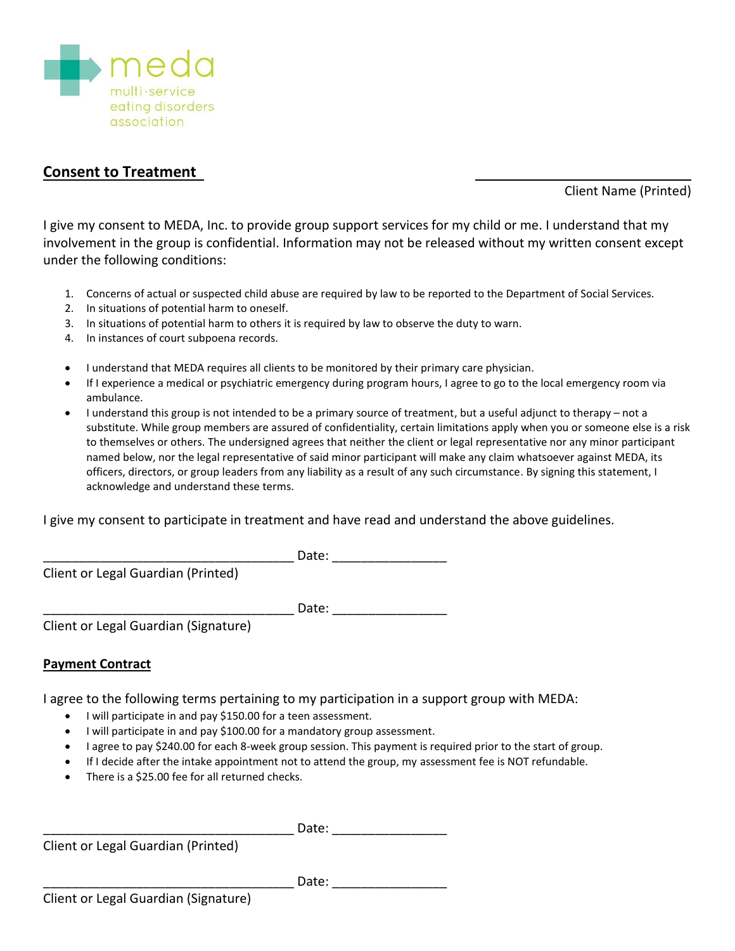

## **Consent to Treatment**

Client Name (Printed)

I give my consent to MEDA, Inc. to provide group support services for my child or me. I understand that my involvement in the group is confidential. Information may not be released without my written consent except under the following conditions:

- 1. Concerns of actual or suspected child abuse are required by law to be reported to the Department of Social Services.
- 2. In situations of potential harm to oneself.
- 3. In situations of potential harm to others it is required by law to observe the duty to warn.
- 4. In instances of court subpoena records.
- I understand that MEDA requires all clients to be monitored by their primary care physician.
- If I experience a medical or psychiatric emergency during program hours, I agree to go to the local emergency room via ambulance.
- I understand this group is not intended to be a primary source of treatment, but a useful adjunct to therapy not a substitute. While group members are assured of confidentiality, certain limitations apply when you or someone else is a risk to themselves or others. The undersigned agrees that neither the client or legal representative nor any minor participant named below, nor the legal representative of said minor participant will make any claim whatsoever against MEDA, its officers, directors, or group leaders from any liability as a result of any such circumstance. By signing this statement, I acknowledge and understand these terms.

I give my consent to participate in treatment and have read and understand the above guidelines.

 $Date:$ 

Client or Legal Guardian (Printed)

\_\_\_\_\_\_\_\_\_\_\_\_\_\_\_\_\_\_\_\_\_\_\_\_\_\_\_\_\_\_\_\_\_\_\_ Date: \_\_\_\_\_\_\_\_\_\_\_\_\_\_\_\_

Client or Legal Guardian (Signature)

## **Payment Contract**

I agree to the following terms pertaining to my participation in a support group with MEDA:

- I will participate in and pay \$150.00 for a teen assessment.
- I will participate in and pay \$100.00 for a mandatory group assessment.
- I agree to pay \$240.00 for each 8-week group session. This payment is required prior to the start of group.
- If I decide after the intake appointment not to attend the group, my assessment fee is NOT refundable.
- There is a \$25.00 fee for all returned checks.

Client or Legal Guardian (Printed)

 $Date:$ 

 $\blacksquare$  Date: